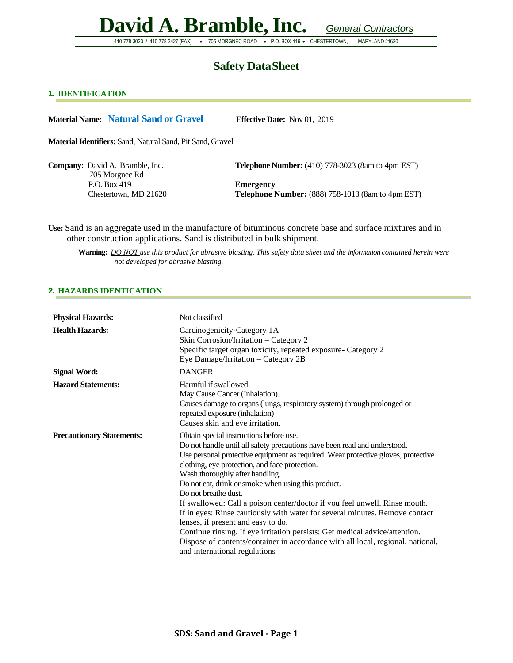410-778-3023 / 410-778-3427 (FAX) • 705 MORGNEC ROAD • P.O. BOX 419 • CHESTERTOWN, MARYLAND 21620

## **Safety DataSheet**

### **1. IDENTIFICATION**

**Material Name: Natural Sand or Gravel Effective Date:** Nov 01, 2019

**Material Identifiers:** Sand, Natural Sand, Pit Sand, Gravel

| <b>Company:</b> David A. Bramble, Inc. |
|----------------------------------------|
| 705 Morgnec Rd                         |
| P.O. Box 419                           |
| Chestertown, MD 21620                  |

**Telephone Number:** (410) 778-3023 (8am to 4pm EST)

**Emergency Telephone Number:** (888) 758-1013 (8am to 4pm EST)

**Use:** Sand is an aggregate used in the manufacture of bituminous concrete base and surface mixtures and in other construction applications. Sand is distributed in bulk shipment.

**Warning:** *DO NOT use this product for abrasive blasting. This safety data sheet and the information contained herein were not developed for abrasive blasting.*

#### **2. HAZARDS IDENTICATION**

| <b>Physical Hazards:</b>         | Not classified                                                                                                                                                                                                                                                                                                                                                                                                                                                                                                                                                                                                                                                                                                                                                                      |
|----------------------------------|-------------------------------------------------------------------------------------------------------------------------------------------------------------------------------------------------------------------------------------------------------------------------------------------------------------------------------------------------------------------------------------------------------------------------------------------------------------------------------------------------------------------------------------------------------------------------------------------------------------------------------------------------------------------------------------------------------------------------------------------------------------------------------------|
| <b>Health Hazards:</b>           | Carcinogenicity-Category 1A<br>Skin Corrosion/Irritation - Category 2<br>Specific target organ toxicity, repeated exposure- Category 2<br>Eye Damage/Irritation - Category 2B                                                                                                                                                                                                                                                                                                                                                                                                                                                                                                                                                                                                       |
| <b>Signal Word:</b>              | <b>DANGER</b>                                                                                                                                                                                                                                                                                                                                                                                                                                                                                                                                                                                                                                                                                                                                                                       |
| <b>Hazard Statements:</b>        | Harmful if swallowed.<br>May Cause Cancer (Inhalation).<br>Causes damage to organs (lungs, respiratory system) through prolonged or<br>repeated exposure (inhalation)<br>Causes skin and eye irritation.                                                                                                                                                                                                                                                                                                                                                                                                                                                                                                                                                                            |
| <b>Precautionary Statements:</b> | Obtain special instructions before use.<br>Do not handle until all safety precautions have been read and understood.<br>Use personal protective equipment as required. Wear protective gloves, protective<br>clothing, eye protection, and face protection.<br>Wash thoroughly after handling.<br>Do not eat, drink or smoke when using this product.<br>Do not breathe dust.<br>If swallowed: Call a poison center/doctor if you feel unwell. Rinse mouth.<br>If in eyes: Rinse cautiously with water for several minutes. Remove contact<br>lenses, if present and easy to do.<br>Continue rinsing. If eye irritation persists: Get medical advice/attention.<br>Dispose of contents/container in accordance with all local, regional, national,<br>and international regulations |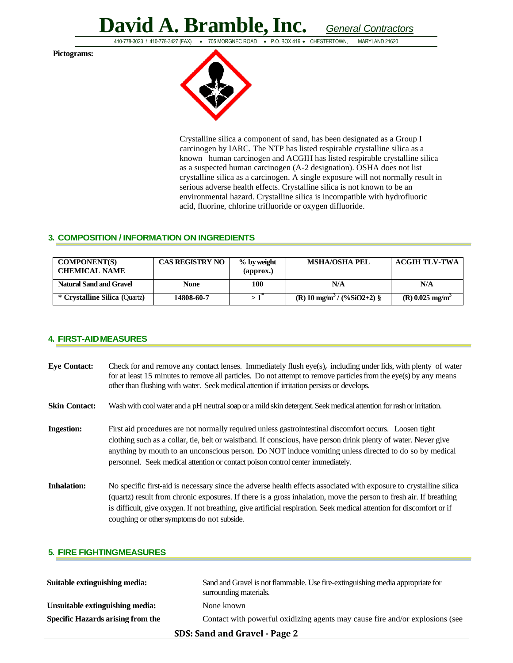410-778-3023 / 410-778-3427 (FAX) • 705 MORGNEC ROAD • P.O. BOX 419 • CHESTERTOWN, MARYLAND 21620

**Pictograms:** 



Crystalline silica a component of sand, has been designated as a Group I carcinogen by IARC. The NTP has listed respirable crystalline silica as a known human carcinogen and ACGIH has listed respirable crystalline silica as a suspected human carcinogen (A-2 designation). OSHA does not list crystalline silica as a carcinogen. A single exposure will not normally result in serious adverse health effects. Crystalline silica is not known to be an environmental hazard. Crystalline silica is incompatible with hydrofluoric acid, fluorine, chlorine trifluoride or oxygen difluoride.

### **3. COMPOSITION / INFORMATION ON INGREDIENTS**

| <b>COMPONENT(S)</b><br><b>CHEMICAL NAME</b> | <b>CAS REGISTRY NO</b> | $%$ by weight<br>$\qquadmathbf{approx.})$ | <b>MSHA/OSHA PEL</b>                                 | <b>ACGIH TLV-TWA</b>          |
|---------------------------------------------|------------------------|-------------------------------------------|------------------------------------------------------|-------------------------------|
| <b>Natural Sand and Gravel</b>              | None                   | 100                                       | N/A                                                  | N/A                           |
| * Crystalline Silica (Quartz)               | 14808-60-7             |                                           | $(R)$ 10 mg/m <sup>3</sup> / $(\frac{9}{6}SiO2+2)$ § | $(R)$ 0.025 mg/m <sup>3</sup> |

### **4. FIRST-AIDMEASURES**

| <b>Eye Contact:</b>  | Check for and remove any contact lenses. Immediately flush eye(s), including under lids, with plenty of water<br>for at least 15 minutes to remove all particles. Do not attempt to remove particles from the eye(s) by any means<br>other than flushing with water. Seek medical attention if irritation persists or develops.                                                                                       |
|----------------------|-----------------------------------------------------------------------------------------------------------------------------------------------------------------------------------------------------------------------------------------------------------------------------------------------------------------------------------------------------------------------------------------------------------------------|
| <b>Skin Contact:</b> | Wash with cool water and a pH neutral soap or a mild skin detergent. Seek medical attention for rash or irritation.                                                                                                                                                                                                                                                                                                   |
| <b>Ingestion:</b>    | First aid procedures are not normally required unless gastrointestinal discomfort occurs. Loosen tight<br>clothing such as a collar, tie, belt or waistband. If conscious, have person drink plenty of water. Never give<br>anything by mouth to an unconscious person. Do NOT induce vomiting unless directed to do so by medical<br>personnel. Seek medical attention or contact poison control center immediately. |
| <b>Inhalation:</b>   | No specific first-aid is necessary since the adverse health effects associated with exposure to crystalline silica<br>(quartz) result from chronic exposures. If there is a gross inhalation, move the person to fresh air. If breathing<br>is difficult, give oxygen. If not breathing, give artificial respiration. Seek medical attention for discomfort or if<br>coughing or other symptoms do not subside.       |

### **5. FIRE FIGHTINGMEASURES**

| Suitable extinguishing media:     | Sand and Gravel is not flammable. Use fire-extinguishing media appropriate for<br>surrounding materials. |  |
|-----------------------------------|----------------------------------------------------------------------------------------------------------|--|
| Unsuitable extinguishing media:   | None known                                                                                               |  |
| Specific Hazards arising from the | Contact with powerful oxidizing agents may cause fire and/or explosions (see                             |  |
| SDS: Sand and Gravel - Page 2     |                                                                                                          |  |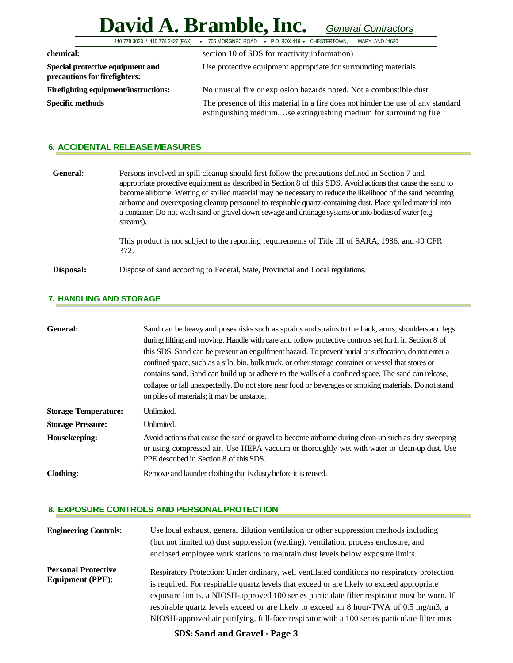## **David A. Bramble,Inc.** *General Contractors* 410-778-3023 / 410-778-3427 (FAX) • 705 MORGNEC ROAD • P.O. BOX 419 • CHESTERTOWN,

| chemical:                                                         | section 10 of SDS for reactivity information)                                                                                                          |
|-------------------------------------------------------------------|--------------------------------------------------------------------------------------------------------------------------------------------------------|
| Special protective equipment and<br>precautions for firefighters: | Use protective equipment appropriate for surrounding materials                                                                                         |
| <b>Firefighting equipment/instructions:</b>                       | No unusual fire or explosion hazards noted. Not a combustible dust                                                                                     |
| <b>Specific methods</b>                                           | The presence of this material in a fire does not hinder the use of any standard<br>extinguishing medium. Use extinguishing medium for surrounding fire |

### **6. ACCIDENTAL RELEASE MEASURES**

| General:  | Persons involved in spill cleanup should first follow the precautions defined in Section 7 and<br>appropriate protective equipment as described in Section 8 of this SDS. Avoid actions that cause the sand to<br>become airborne. Wetting of spilled material may be necessary to reduce the likelihood of the sand becoming<br>airborne and overexposing cleanup personnel to respirable quartz-containing dust. Place spilled material into<br>a container. Do not wash sand or gravel down sewage and drainage systems or into bodies of water (e.g.<br>streams). |
|-----------|-----------------------------------------------------------------------------------------------------------------------------------------------------------------------------------------------------------------------------------------------------------------------------------------------------------------------------------------------------------------------------------------------------------------------------------------------------------------------------------------------------------------------------------------------------------------------|
|           | This product is not subject to the reporting requirements of Title III of SARA, 1986, and 40 CFR<br>372.                                                                                                                                                                                                                                                                                                                                                                                                                                                              |
| Disposal: | Dispose of sand according to Federal, State, Provincial and Local regulations.                                                                                                                                                                                                                                                                                                                                                                                                                                                                                        |

### **7. HANDLING AND STORAGE**

| General:                    | Sand can be heavy and poses risks such as sprains and strains to the back, arms, shoulders and legs<br>during lifting and moving. Handle with care and follow protective controls set forth in Section 8 of<br>this SDS. Sand can be present an engulfment hazard. To prevent burial or suffocation, do not enter a<br>confined space, such as a silo, bin, bulk truck, or other storage container or vessel that stores or<br>contains sand. Sand can build up or adhere to the walls of a confined space. The sand can release,<br>collapse or fall unexpectedly. Do not store near food or beverages or smoking materials. Do not stand<br>on piles of materials; it may be unstable. |
|-----------------------------|------------------------------------------------------------------------------------------------------------------------------------------------------------------------------------------------------------------------------------------------------------------------------------------------------------------------------------------------------------------------------------------------------------------------------------------------------------------------------------------------------------------------------------------------------------------------------------------------------------------------------------------------------------------------------------------|
| <b>Storage Temperature:</b> | Unlimited.                                                                                                                                                                                                                                                                                                                                                                                                                                                                                                                                                                                                                                                                               |
| <b>Storage Pressure:</b>    | Unlimited.                                                                                                                                                                                                                                                                                                                                                                                                                                                                                                                                                                                                                                                                               |
| Housekeeping:               | Avoid actions that cause the sand or gravel to become airborne during clean-up such as dry sweeping<br>or using compressed air. Use HEPA vacuum or thoroughly wet with water to clean-up dust. Use<br>PPE described in Section 8 of this SDS.                                                                                                                                                                                                                                                                                                                                                                                                                                            |
| Clothing:                   | Remove and launder clothing that is dusty before it is reused.                                                                                                                                                                                                                                                                                                                                                                                                                                                                                                                                                                                                                           |

### **8. EXPOSURE CONTROLS AND PERSONALPROTECTION**

| <b>Engineering Controls:</b>                          | Use local exhaust, general dilution ventilation or other suppression methods including<br>(but not limited to) dust suppression (wetting), ventilation, process enclosure, and<br>enclosed employee work stations to maintain dust levels below exposure limits.                                                                                                                                                                                                                  |
|-------------------------------------------------------|-----------------------------------------------------------------------------------------------------------------------------------------------------------------------------------------------------------------------------------------------------------------------------------------------------------------------------------------------------------------------------------------------------------------------------------------------------------------------------------|
| <b>Personal Protective</b><br><b>Equipment (PPE):</b> | Respiratory Protection: Under ordinary, well ventilated conditions no respiratory protection<br>is required. For respirable quartz levels that exceed or are likely to exceed appropriate<br>exposure limits, a NIOSH-approved 100 series particulate filter respirator must be worn. If<br>respirable quartz levels exceed or are likely to exceed an 8 hour-TWA of 0.5 mg/m3, a<br>NIOSH-approved air purifying, full-face respirator with a 100 series particulate filter must |
|                                                       |                                                                                                                                                                                                                                                                                                                                                                                                                                                                                   |

**SDS: Sand and Gravel - Page 3**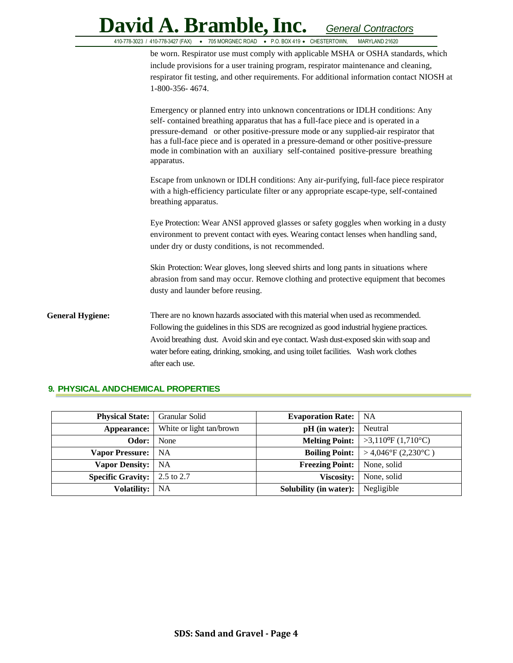|                         | David A. Bramble, Inc.<br>General Contractors                                                                                                                                                                                                                                                                                                                                                                                                          |
|-------------------------|--------------------------------------------------------------------------------------------------------------------------------------------------------------------------------------------------------------------------------------------------------------------------------------------------------------------------------------------------------------------------------------------------------------------------------------------------------|
|                         | 410-778-3023 / 410-778-3427 (FAX) . 705 MORGNEC ROAD . P.O. BOX 419 . CHESTERTOWN,<br>MARYLAND 21620                                                                                                                                                                                                                                                                                                                                                   |
|                         | be worn. Respirator use must comply with applicable MSHA or OSHA standards, which<br>include provisions for a user training program, respirator maintenance and cleaning,<br>respirator fit testing, and other requirements. For additional information contact NIOSH at<br>1-800-356-4674.                                                                                                                                                            |
|                         | Emergency or planned entry into unknown concentrations or IDLH conditions: Any<br>self-contained breathing apparatus that has a full-face piece and is operated in a<br>pressure-demand or other positive-pressure mode or any supplied-air respirator that<br>has a full-face piece and is operated in a pressure-demand or other positive-pressure<br>mode in combination with an auxiliary self-contained positive-pressure breathing<br>apparatus. |
|                         | Escape from unknown or IDLH conditions: Any air-purifying, full-face piece respirator<br>with a high-efficiency particulate filter or any appropriate escape-type, self-contained<br>breathing apparatus.                                                                                                                                                                                                                                              |
|                         | Eye Protection: Wear ANSI approved glasses or safety goggles when working in a dusty<br>environment to prevent contact with eyes. Wearing contact lenses when handling sand,<br>under dry or dusty conditions, is not recommended.                                                                                                                                                                                                                     |
|                         | Skin Protection: Wear gloves, long sleeved shirts and long pants in situations where<br>abrasion from sand may occur. Remove clothing and protective equipment that becomes<br>dusty and launder before reusing.                                                                                                                                                                                                                                       |
| <b>General Hygiene:</b> | There are no known hazards associated with this material when used as recommended.<br>Following the guidelines in this SDS are recognized as good industrial hygiene practices.<br>Avoid breathing dust. Avoid skin and eye contact. Wash dust-exposed skin with soap and<br>water before eating, drinking, smoking, and using toilet facilities. Wash work clothes<br>after each use.                                                                 |

### **9. PHYSICAL ANDCHEMICAL PROPERTIES**

| <b>Physical State:</b>                                     | Granular Solid           | <b>Evaporation Rate:</b> | <b>NA</b>                         |
|------------------------------------------------------------|--------------------------|--------------------------|-----------------------------------|
| Appearance:                                                | White or light tan/brown | $pH$ (in water):         | Neutral                           |
| Odor:                                                      | None                     | <b>Melting Point:</b>    | $>3,110^{\circ}F(1,710^{\circ}C)$ |
| <b>Vapor Pressure:</b>                                     | NA                       | <b>Boiling Point:</b>    | > 4,046°F (2,230°C)               |
| <b>Vapor Density:</b> NA                                   |                          | <b>Freezing Point:</b>   | None, solid                       |
| <b>Specific Gravity:</b> $\vert 2.5 \text{ to } 2.7 \vert$ |                          | <b>Viscosity:</b>        | None, solid                       |
| <b>Volatility:</b>                                         | <b>NA</b>                | Solubility (in water):   | Negligible                        |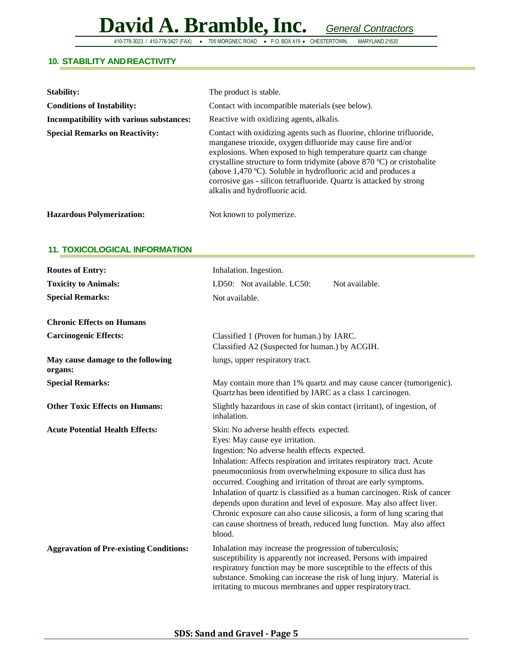410-778-3023 / 410-778-3427 (FAX) • 705 MORGNEC ROAD • P.O. BOX 419 • CHESTERTOWN,

### **10. STABILITY ANDREACTIVITY**

| <b>Stability:</b>                        | The product is stable.                                                                                                                                                                                                                                                                                                                                                                                                                                     |
|------------------------------------------|------------------------------------------------------------------------------------------------------------------------------------------------------------------------------------------------------------------------------------------------------------------------------------------------------------------------------------------------------------------------------------------------------------------------------------------------------------|
| <b>Conditions of Instability:</b>        | Contact with incompatible materials (see below).                                                                                                                                                                                                                                                                                                                                                                                                           |
| Incompatibility with various substances: | Reactive with oxidizing agents, alkalis.                                                                                                                                                                                                                                                                                                                                                                                                                   |
| <b>Special Remarks on Reactivity:</b>    | Contact with oxidizing agents such as fluorine, chlorine trifluoride,<br>manganese trioxide, oxygen difluoride may cause fire and/or<br>explosions. When exposed to high temperature quartz can change<br>crystalline structure to form tridymite (above 870 °C) or cristobalite<br>(above 1,470 °C). Soluble in hydrofluoric acid and produces a<br>corrosive gas - silicon tetrafluoride. Quartz is attacked by strong<br>alkalis and hydrofluoric acid. |
| <b>Hazardous Polymerization:</b>         | Not known to polymerize.                                                                                                                                                                                                                                                                                                                                                                                                                                   |

### **11. TOXICOLOGICAL INFORMATION**

| <b>Routes of Entry:</b>                        | Inhalation. Ingestion.                                                                                                                                                                                                                                                                                                                                                                                                                                                                                                                                                                                                                                      |  |  |
|------------------------------------------------|-------------------------------------------------------------------------------------------------------------------------------------------------------------------------------------------------------------------------------------------------------------------------------------------------------------------------------------------------------------------------------------------------------------------------------------------------------------------------------------------------------------------------------------------------------------------------------------------------------------------------------------------------------------|--|--|
| <b>Toxicity to Animals:</b>                    | Not available.<br>LD50: Not available. LC50:                                                                                                                                                                                                                                                                                                                                                                                                                                                                                                                                                                                                                |  |  |
| <b>Special Remarks:</b>                        | Not available.                                                                                                                                                                                                                                                                                                                                                                                                                                                                                                                                                                                                                                              |  |  |
| <b>Chronic Effects on Humans</b>               |                                                                                                                                                                                                                                                                                                                                                                                                                                                                                                                                                                                                                                                             |  |  |
| <b>Carcinogenic Effects:</b>                   | Classified 1 (Proven for human.) by IARC.<br>Classified A2 (Suspected for human.) by ACGIH.                                                                                                                                                                                                                                                                                                                                                                                                                                                                                                                                                                 |  |  |
| May cause damage to the following<br>organs:   | lungs, upper respiratory tract.                                                                                                                                                                                                                                                                                                                                                                                                                                                                                                                                                                                                                             |  |  |
| <b>Special Remarks:</b>                        | May contain more than 1% quartz and may cause cancer (tumorigenic).<br>Quartz has been identified by IARC as a class 1 carcinogen.                                                                                                                                                                                                                                                                                                                                                                                                                                                                                                                          |  |  |
| <b>Other Toxic Effects on Humans:</b>          | Slightly hazardous in case of skin contact (irritant), of ingestion, of<br>inhalation.                                                                                                                                                                                                                                                                                                                                                                                                                                                                                                                                                                      |  |  |
| <b>Acute Potential Health Effects:</b>         | Skin: No adverse health effects expected.<br>Eyes: May cause eye irritation.<br>Ingestion: No adverse health effects expected.<br>Inhalation: Affects respiration and irritates respiratory tract. Acute<br>pneumoconiosis from overwhelming exposure to silica dust has<br>occurred. Coughing and irritation of throat are early symptoms.<br>Inhalation of quartz is classified as a human carcinogen. Risk of cancer<br>depends upon duration and level of exposure. May also affect liver.<br>Chronic exposure can also cause silicosis, a form of lung scaring that<br>can cause shortness of breath, reduced lung function. May also affect<br>blood. |  |  |
| <b>Aggravation of Pre-existing Conditions:</b> | Inhalation may increase the progression of tuberculosis;<br>susceptibility is apparently not increased. Persons with impaired<br>respiratory function may be more susceptible to the effects of this<br>substance. Smoking can increase the risk of lung injury. Material is<br>irritating to mucous membranes and upper respiratory tract.                                                                                                                                                                                                                                                                                                                 |  |  |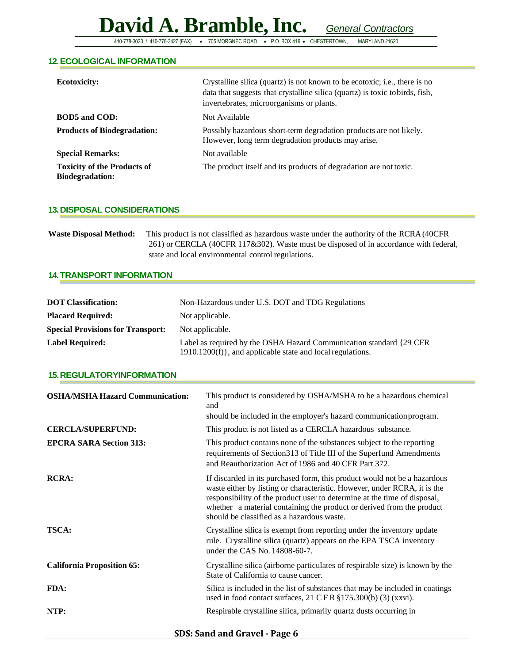410-778-3023 / 410-778-3427 (FAX) • 705 MORGNEC ROAD • P.O. BOX 419 • CHESTERTOWN, MARYLAND 21620

### **12.ECOLOGICAL INFORMATION**

| <b>Ecotoxicity:</b>                                          | Crystalline silica (quartz) is not known to be ecotoxic; i.e., there is no<br>data that suggests that crystalline silica (quartz) is toxic to birds, fish,<br>invertebrates, microorganisms or plants. |
|--------------------------------------------------------------|--------------------------------------------------------------------------------------------------------------------------------------------------------------------------------------------------------|
| <b>BOD5</b> and COD:                                         | Not Available                                                                                                                                                                                          |
| <b>Products of Biodegradation:</b>                           | Possibly hazardous short-term degradation products are not likely.<br>However, long term degradation products may arise.                                                                               |
| <b>Special Remarks:</b>                                      | Not available                                                                                                                                                                                          |
| <b>Toxicity of the Products of</b><br><b>Biodegradation:</b> | The product itself and its products of degradation are not toxic.                                                                                                                                      |

### **13.DISPOSAL CONSIDERATIONS**

|                                                                                       | <b>Waste Disposal Method:</b> This product is not classified as hazardous waste under the authority of the RCRA (40CFR) |  |
|---------------------------------------------------------------------------------------|-------------------------------------------------------------------------------------------------------------------------|--|
| 261) or CERCLA (40CFR 117&302). Waste must be disposed of in accordance with federal, |                                                                                                                         |  |
|                                                                                       | state and local environmental control regulations.                                                                      |  |

### **14.TRANSPORT INFORMATION**

| <b>DOT Classification:</b>               | Non-Hazardous under U.S. DOT and TDG Regulations                                                                                   |  |
|------------------------------------------|------------------------------------------------------------------------------------------------------------------------------------|--|
| <b>Placard Required:</b>                 | Not applicable.                                                                                                                    |  |
| <b>Special Provisions for Transport:</b> | Not applicable.                                                                                                                    |  |
| <b>Label Required:</b>                   | Label as required by the OSHA Hazard Communication standard {29 CFR}<br>1910.1200(f)}, and applicable state and local regulations. |  |

### **15.REGULATORYINFORMATION**

| <b>OSHA/MSHA Hazard Communication:</b> | This product is considered by OSHA/MSHA to be a hazardous chemical<br>and<br>should be included in the employer's hazard communication program.                                                                                                                                                                                                           |  |
|----------------------------------------|-----------------------------------------------------------------------------------------------------------------------------------------------------------------------------------------------------------------------------------------------------------------------------------------------------------------------------------------------------------|--|
| <b>CERCLA/SUPERFUND:</b>               | This product is not listed as a CERCLA hazardous substance.                                                                                                                                                                                                                                                                                               |  |
| <b>EPCRA SARA Section 313:</b>         | This product contains none of the substances subject to the reporting<br>requirements of Section 313 of Title III of the Superfund Amendments<br>and Reauthorization Act of 1986 and 40 CFR Part 372.                                                                                                                                                     |  |
| <b>RCRA:</b>                           | If discarded in its purchased form, this product would not be a hazardous<br>waste either by listing or characteristic. However, under RCRA, it is the<br>responsibility of the product user to determine at the time of disposal,<br>whether a material containing the product or derived from the product<br>should be classified as a hazardous waste. |  |
| <b>TSCA:</b>                           | Crystalline silica is exempt from reporting under the inventory update<br>rule. Crystalline silica (quartz) appears on the EPA TSCA inventory<br>under the CAS No. 14808-60-7.                                                                                                                                                                            |  |
| <b>California Proposition 65:</b>      | Crystalline silica (airborne particulates of respirable size) is known by the<br>State of California to cause cancer.                                                                                                                                                                                                                                     |  |
| FDA:                                   | Silica is included in the list of substances that may be included in coatings<br>used in food contact surfaces, $21$ CFR $\S 175.300(b)$ (3) (xxvi).                                                                                                                                                                                                      |  |
| NTP:                                   | Respirable crystalline silica, primarily quartz dusts occurring in                                                                                                                                                                                                                                                                                        |  |

**SDS: Sand and Gravel - Page 6**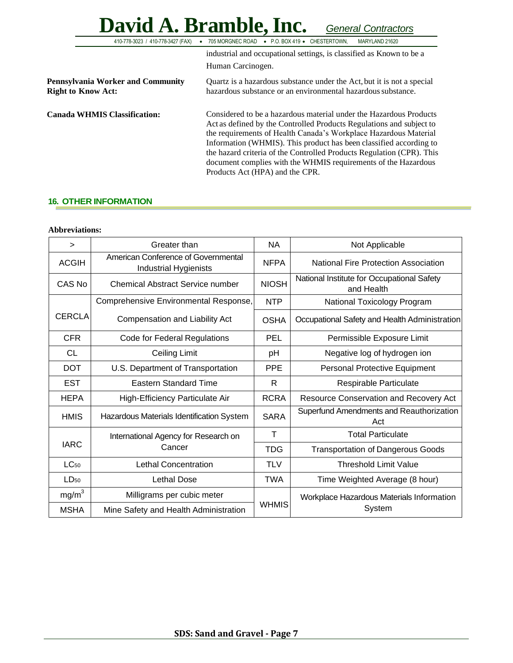### **David A. Bramble,Inc.** *General Contractors* 410-778-3023 / 410-778-3427 (FAX) • 705 MORGNEC ROAD • P.O. BOX 419 • CHESTERTOWN, MARYLAND 21620 industrial and occupational settings, is classified as Known to be a Human Carcinogen. **Pennsylvania Worker and Community Right to Know Act:** Quartz is a hazardous substance under the Act, but it is not a special hazardous substance or an environmental hazardous substance. **Canada WHMIS Classification:** Considered to be a hazardous material under the Hazardous Products Act as defined by the Controlled Products Regulations and subject to the requirements of Health Canada's Workplace Hazardous Material Information (WHMIS). This product has been classified according to the hazard criteria of the Controlled Products Regulation (CPR). This document complies with the WHMIS requirements of the Hazardous Products Act (HPA) and the CPR.

### **16. OTHER INFORMATION**

### **Abbreviations:**

| $\geq$                                     | Greater than                                                        | <b>NA</b>    | Not Applicable                                           |
|--------------------------------------------|---------------------------------------------------------------------|--------------|----------------------------------------------------------|
| <b>ACGIH</b>                               | American Conference of Governmental<br><b>Industrial Hygienists</b> |              | National Fire Protection Association                     |
| CAS No                                     | <b>Chemical Abstract Service number</b>                             |              | National Institute for Occupational Safety<br>and Health |
| Comprehensive Environmental Response,      |                                                                     | <b>NTP</b>   | National Toxicology Program                              |
| <b>CERCLA</b>                              | Compensation and Liability Act                                      | <b>OSHA</b>  | Occupational Safety and Health Administration            |
| <b>CFR</b><br>Code for Federal Regulations |                                                                     | <b>PEL</b>   | Permissible Exposure Limit                               |
| <b>CL</b>                                  | Ceiling Limit                                                       |              | Negative log of hydrogen ion                             |
| <b>DOT</b>                                 | U.S. Department of Transportation                                   | <b>PPE</b>   | Personal Protective Equipment                            |
| <b>EST</b>                                 | <b>Eastern Standard Time</b>                                        |              | Respirable Particulate                                   |
| <b>HEPA</b>                                | High-Efficiency Particulate Air                                     |              | Resource Conservation and Recovery Act                   |
| <b>HMIS</b>                                | Hazardous Materials Identification System                           |              | Superfund Amendments and Reauthorization<br>Act          |
| International Agency for Research on       |                                                                     | $\top$       | <b>Total Particulate</b>                                 |
| <b>IARC</b>                                | Cancer                                                              | <b>TDG</b>   | <b>Transportation of Dangerous Goods</b>                 |
| $LC_{50}$                                  | <b>Lethal Concentration</b>                                         | <b>TLV</b>   | <b>Threshold Limit Value</b>                             |
| LD <sub>50</sub>                           | Lethal Dose                                                         | <b>TWA</b>   | Time Weighted Average (8 hour)                           |
| mg/m <sup>3</sup>                          | Milligrams per cubic meter                                          |              | Workplace Hazardous Materials Information                |
| <b>MSHA</b>                                | Mine Safety and Health Administration                               | <b>WHMIS</b> | System                                                   |